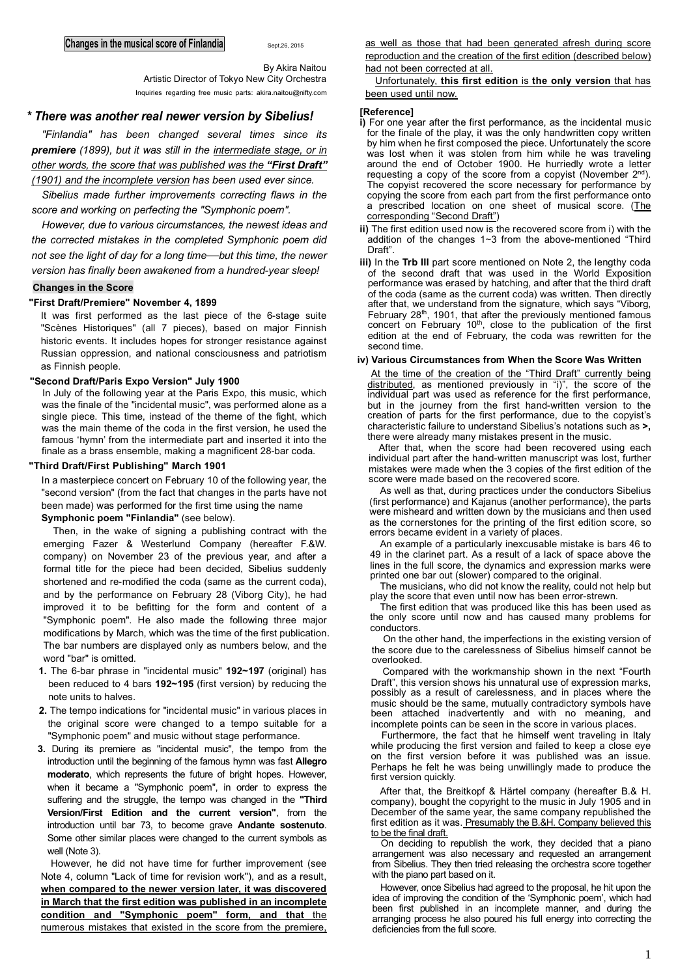By Akira Naitou

Artistic Director of Tokyo New City Orchestra Inquiries regarding free music parts: [akira.naitou@nifty.com](mailto:akira.naitou@nifty.com)

# *\* There was another real newer version by Sibelius!*

*"Finlandia" has been changed several times since its premiere (1899), but it was still in the intermediate stage, or in other words, the score that was published was the "First Draft" (1901) and the incomplete version has been used ever since.*

*Sibelius made further improvements correcting flaws in the score and working on perfecting the "Symphonic poem".*

*However, due to various circumstances, the newest ideas and the corrected mistakes in the completed Symphonic poem did not see the light of day for a long time*—*but this time, the newer version has finally been awakened from a hundred-year sleep!*

# **Changes in the Score**

## **"First Draft/Premiere" November 4, 1899**

It was first performed as the last piece of the 6-stage suite "Scènes Historiques" (all 7 pieces), based on major Finnish historic events. It includes hopes for stronger resistance against Russian oppression, and national consciousness and patriotism as Finnish people.

# **"Second Draft/Paris Expo Version" July 1900**

In July of the following year at the Paris Expo, this music, which was the finale of the "incidental music", was performed alone as a single piece. This time, instead of the theme of the fight, which was the main theme of the coda in the first version, he used the famous 'hymn' from the intermediate part and inserted it into the finale as a brass ensemble, making a magnificent 28-bar coda.

# **"Third Draft/First Publishing" March 1901**

In a masterpiece concert on February 10 of the following year, the "second version" (from the fact that changes in the parts have not been made) was performed for the first time using the name **Symphonic poem "Finlandia"** (see below).

Then, in the wake of signing a publishing contract with the emerging Fazer & Westerlund Company (hereafter F.&W. company) on November 23 of the previous year, and after a formal title for the piece had been decided, Sibelius suddenly shortened and re-modified the coda (same as the current coda), and by the performance on February 28 (Viborg City), he had improved it to be befitting for the form and content of a "Symphonic poem". He also made the following three major modifications by March, which was the time of the first publication. The bar numbers are displayed only as numbers below, and the word "bar" is omitted.

- **1.** The 6-bar phrase in "incidental music" **192~197** (original) has been reduced to 4 bars **192~195** (first version) by reducing the note units to halves.
- **2.** The tempo indications for "incidental music" in various places in the original score were changed to a tempo suitable for a "Symphonic poem" and music without stage performance.
- **3.** During its premiere as "incidental music", the tempo from the introduction until the beginning of the famous hymn was fast **Allegro moderato**, which represents the future of bright hopes. However, when it became a "Symphonic poem", in order to express the suffering and the struggle, the tempo was changed in the **"Third Version/First Edition and the current version"**, from the introduction until bar 73, to become grave **Andante sostenuto**. Some other similar places were changed to the current symbols as well (Note 3).

However, he did not have time for further improvement (see Note 4, column "Lack of time for revision work"), and as a result, **when compared to the newer version later, it was discovered in March that the first edition was published in an incomplete condition and "Symphonic poem" form, and that** the numerous mistakes that existed in the score from the premiere,

as well as those that had been generated afresh during score reproduction and the creation of the first edition (described below) had not been corrected at all.

Unfortunately, **this first edition** is **the only version** that has been used until now.

# **[Reference]**

- **i)** For one year after the first performance, as the incidental music for the finale of the play, it was the only handwritten copy written by him when he first composed the piece. Unfortunately the score was lost when it was stolen from him while he was traveling around the end of October 1900. He hurriedly wrote a letter requesting a copy of the score from a copyist (November  $2^{nd}$ ). The copyist recovered the score necessary for performance by copying the score from each part from the first performance onto a prescribed location on one sheet of musical score. (The corresponding "Second Draft")
- **ii)** The first edition used now is the recovered score from i) with the addition of the changes 1~3 from the above-mentioned "Third Draft".

**iii)** In the Trb III part score mentioned on Note 2, the lengthy coda of the second draft that was used in the World Exposition performance was erased by hatching, and after that the third draft of the coda (same as the current coda) was written. Then directly after that, we understand from the signature, which says "Viborg, February 28<sup>th</sup>, 1901, that after the previously mentioned famous concert on February 10<sup>th</sup>, close to the publication of the first edition at the end of February, the coda was rewritten for the second time.

# **iv) Various Circumstances from When the Score Was Written**

At the time of the creation of the "Third Draft" currently being distributed, as mentioned previously in "i)", the score of the individual part was used as reference for the first performance, but in the journey from the first hand-written version to the creation of parts for the first performance, due to the copyist's characteristic failure to understand Sibelius's notations such as **>,**  there were already many mistakes present in the music.

After that, when the score had been recovered using each individual part after the hand-written manuscript was lost, further mistakes were made when the 3 copies of the first edition of the score were made based on the recovered score.

As well as that, during practices under the conductors Sibelius (first performance) and Kajanus (another performance), the parts were misheard and written down by the musicians and then used as the cornerstones for the printing of the first edition score, so errors became evident in a variety of places.

An example of a particularly inexcusable mistake is bars 46 to 49 in the clarinet part. As a result of a lack of space above the lines in the full score, the dynamics and expression marks were printed one bar out (slower) compared to the original.

The musicians, who did not know the reality, could not help but play the score that even until now has been error-strewn.

The first edition that was produced like this has been used as the only score until now and has caused many problems for conductors.

On the other hand, the imperfections in the existing version of the score due to the carelessness of Sibelius himself cannot be overlooked.

Compared with the workmanship shown in the next "Fourth Draft", this version shows his unnatural use of expression marks, possibly as a result of carelessness, and in places where the music should be the same, mutually contradictory symbols have been attached inadvertently and with no meaning, and incomplete points can be seen in the score in various places.

Furthermore, the fact that he himself went traveling in Italy while producing the first version and failed to keep a close eve on the first version before it was published was an issue. Perhaps he felt he was being unwillingly made to produce the first version quickly.

After that, the Breitkopf & Härtel company (hereafter B.& H. company), bought the copyright to the music in July 1905 and in December of the same year, the same company republished the first edition as it was. Presumably the B.&H. Company believed this to be the final draft.

On deciding to republish the work, they decided that a piano arrangement was also necessary and requested an arrangement from Sibelius. They then tried releasing the orchestra score together with the piano part based on it.

However, once Sibelius had agreed to the proposal, he hit upon the idea of improving the condition of the 'Symphonic poem', which had been first published in an incomplete manner, and during the arranging process he also poured his full energy into correcting the deficiencies from the full score.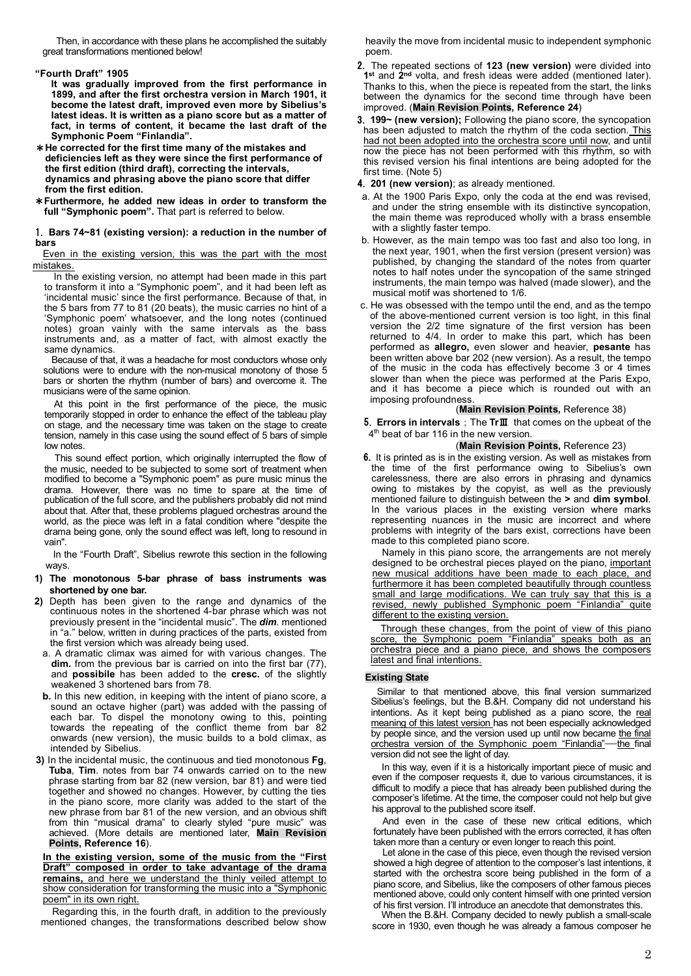Then, in accordance with these plans he accomplished the suitably great transformations mentioned below!

# **"Fourth Draft" 1905**

**It was gradually improved from the first performance in 1899, and after the first orchestra version in March 1901, it become the latest draft, improved even more by Sibelius's latest ideas. It is written as a piano score but as a matter of fact, in terms of content, it became the last draft of the Symphonic Poem "Finlandia".**

- \***He corrected for the first time many of the mistakes and deficiencies left as they were since the first performance of the first edition (third draft), correcting the intervals, dynamics and phrasing above the piano score that differ from the first edition.**
- \***Furthermore, he added new ideas in order to transform the**  full "Symphonic poem". That part is referred to below.

#### 1. **Bars 74~81 (existing version): a reduction in the number of bars**

Even in the existing version, this was the part with the most mistakes.

In the existing version, no attempt had been made in this part to transform it into a "Symphonic poem", and it had been left as 'incidental music' since the first performance. Because of that, in the 5 bars from 77 to 81 (20 beats), the music carries no hint of a 'Symphonic poem' whatsoever, and the long notes (continued notes) groan vainly with the same intervals as the bass instruments and, as a matter of fact, with almost exactly the same dynamics.

Because of that, it was a headache for most conductors whose only solutions were to endure with the non-musical monotony of those 5 bars or shorten the rhythm (number of bars) and overcome it. The musicians were of the same opinion.

At this point in the first performance of the piece, the music temporarily stopped in order to enhance the effect of the tableau play on stage, and the necessary time was taken on the stage to create tension, namely in this case using the sound effect of 5 bars of simple low notes.

This sound effect portion, which originally interrupted the flow of the music, needed to be subjected to some sort of treatment when modified to become a "Symphonic poem" as pure music minus the drama. However, there was no time to spare at the time of publication of the full score, and the publishers probably did not mind about that. After that, these problems plagued orchestras around the world, as the piece was left in a fatal condition where "despite the drama being gone, only the sound effect was left, long to resound in vain".

In the "Fourth Draft", Sibelius rewrote this section in the following ways.

## **1) The monotonous 5-bar phrase of bass instruments was shortened by one bar.**

- **2)** Depth has been given to the range and dynamics of the continuous notes in the shortened 4-bar phrase which was not previously present in the "incidental music". The *dim.* mentioned in "a." below, written in during practices of the parts, existed from the first version which was already being used.
- a. A dramatic climax was aimed for with various changes. The **dim.** from the previous bar is carried on into the first bar (77), and **possibile** has been added to the **cresc.** of the slightly weakened 3 shortened bars from 78.
- **b.** In this new edition, in keeping with the intent of piano score, a sound an octave higher (part) was added with the passing of each bar. To dispel the monotony owing to this, pointing towards the repeating of the conflict theme from bar 82 onwards (new version), the music builds to a bold climax, as intended by Sibelius.
- **3)** In the incidental music, the continuous and tied monotonous **Fg**, **Tuba**, **Tim**. notes from bar 74 onwards carried on to the new phrase starting from bar 82 (new version, bar 81) and were tied together and showed no changes. However, by cutting the ties in the piano score, more clarity was added to the start of the new phrase from bar 81 of the new version, and an obvious shift from thin "musical drama" to clearly styled "pure music" was achieved. (More details are mentioned later, **Main Revision Points, Reference 16**).

**In the existing version, some of the music from the "First Draft" composed in order to take advantage of the drama remains,** and here we understand the thinly veiled attempt to show consideration for transforming the music into a "Symphonic poem" in its own right.

Regarding this, in the fourth draft, in addition to the previously mentioned changes, the transformations described below show heavily the move from incidental music to independent symphonic poem.

- 2. The repeated sections of **123 (new version)** were divided into **1st** and **2nd** volta, and fresh ideas were added (mentioned later). Thanks to this, when the piece is repeated from the start, the links between the dynamics for the second time through have been improved. (**Main Revision Points, Reference 24**)
- 3. **199~ (new version);** Following the piano score, the syncopation has been adjusted to match the rhythm of the coda section. This had not been adopted into the orchestra score until now, and until now the piece has not been performed with this rhythm, so with this revised version his final intentions are being adopted for the first time. (Note 5)

4. **201 (new version)**; as already mentioned.

- a. At the 1900 Paris Expo, only the coda at the end was revised, and under the string ensemble with its distinctive syncopation, the main theme was reproduced wholly with a brass ensemble with a slightly faster tempo.
- b. However, as the main tempo was too fast and also too long, in the next year, 1901, when the first version (present version) was published, by changing the standard of the notes from quarter notes to half notes under the syncopation of the same stringed instruments, the main tempo was halved (made slower), and the musical motif was shortened to 1/6.
- c. He was obsessed with the tempo until the end, and as the tempo of the above-mentioned current version is too light, in this final version the 2/2 time signature of the first version has been returned to 4/4. In order to make this part, which has been performed as **allegro,** even slower and heavier, **pesante** has been written above bar 202 (new version). As a result, the tempo of the music in the coda has effectively become  $3$  or 4 times slower than when the piece was performed at the Paris Expo, and it has become a piece which is rounded out with an imposing profoundness.

### (**Main Revision Points,** Reference 38)

5. **Errors in intervals**;The **Tr**Ⅲ that comes on the upbeat of the 4<sup>th</sup> beat of bar 116 in the new version.

### (**Main Revision Points,** Reference 23)

6. It is printed as is in the existing version. As well as mistakes from the time of the first performance owing to Sibelius's own carelessness, there are also errors in phrasing and dynamics owing to mistakes by the copyist, as well as the previously mentioned failure to distinguish between the **>** and **dim symbol**. In the various places in the existing version where marks representing nuances in the music are incorrect and where problems with integrity of the bars exist, corrections have been made to this completed piano score.

Namely in this piano score, the arrangements are not merely designed to be orchestral pieces played on the piano, important new musical additions have been made to each place, and furthermore it has been completed beautifully through countless small and large modifications. We can truly say that this is a revised, newly published Symphonic poem "Finlandia" quite different to the existing version.

Through these changes, from the point of view of this piano score, the Symphonic poem "Finlandia" speaks both as an orchestra piece and a piano piece, and shows the composers latest and final intentions.

# **Existing State**

Similar to that mentioned above, this final version summarized Sibelius's feelings, but the B.&H. Company did not understand his intentions. As it kept being published as a piano score, the real meaning of this latest version has not been especially acknowledged by people since, and the version used up until now became the final orchestra version of the Symphonic poem "Finlandia"—the final version did not see the light of day.

In this way, even if it is a historically important piece of music and even if the composer requests it, due to various circumstances, it is difficult to modify a piece that has already been published during the composer's lifetime. At the time, the composer could not help but give his approval to the published score itself.

And even in the case of these new critical editions, which fortunately have been published with the errors corrected, it has often taken more than a century or even longer to reach this point.

Let alone in the case of this piece, even though the revised version showed a high degree of attention to the composer's last intentions, it started with the orchestra score being published in the form of a piano score, and Sibelius, like the composers of other famous pieces mentioned above, could only content himself with one printed version of his first version. I'll introduce an anecdote that demonstrates this.

When the B.&H. Company decided to newly publish a small-scale score in 1930, even though he was already a famous composer he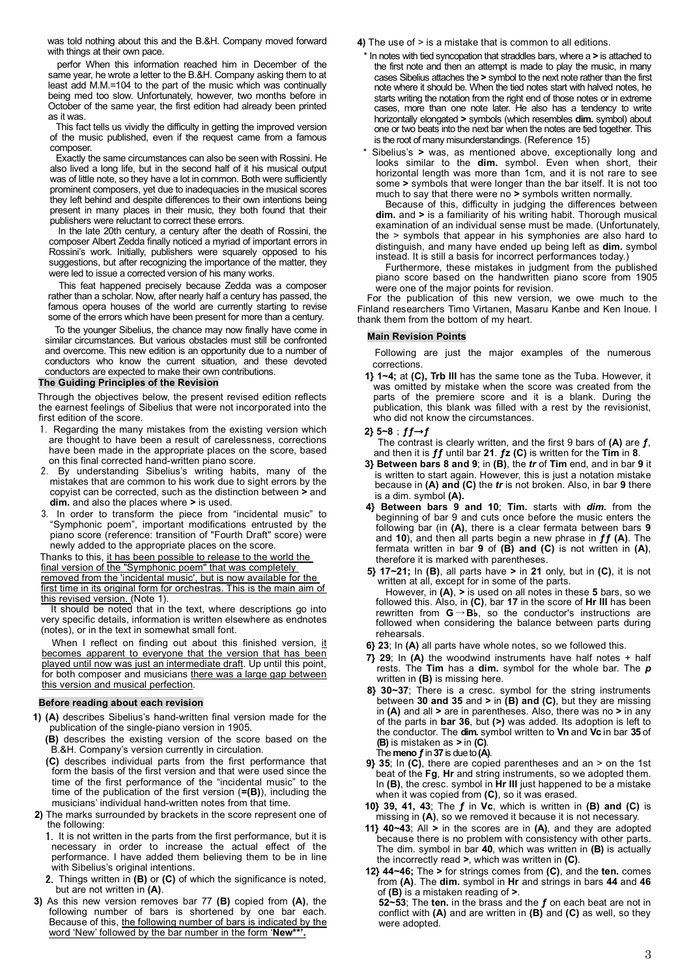was told nothing about this and the B.&H. Company moved forward with things at their own pace.

perfor When this information reached him in December of the same year, he wrote a letter to the B.&H. Company asking them to at least add M.M.=104 to the part of the music which was continually being med too slow. Unfortunately, however, two months before in October of the same year, the first edition had already been printed as it was.

This fact tells us vividly the difficulty in getting the improved version of the music published, even if the request came from a famous composer.

Exactly the same circumstances can also be seen with Rossini. He also lived a long life, but in the second half of it his musical output was of little note, so they have a lot in common. Both were sufficiently prominent composers, yet due to inadequacies in the musical scores they left behind and despite differences to their own intentions being present in many places in their music, they both found that their publishers were reluctant to correct these errors.

In the late 20th century, a century after the death of Rossini, the composer Albert Zedda finally noticed a myriad of important errors in Rossini's work. Initially, publishers were squarely opposed to his suggestions, but after recognizing the importance of the matter, they were led to issue a corrected version of his many works.

This feat happened precisely because Zedda was a composer rather than a scholar. Now, after nearly half a century has passed, the famous opera houses of the world are currently starting to revise some of the errors which have been present for more than a century.

To the younger Sibelius, the chance may now finally have come in similar circumstances. But various obstacles must still be confronted and overcome. This new edition is an opportunity due to a number of conductors who know the current situation, and these devoted conductors are expected to make their own contributions.

#### **The Guiding Principles of the Revision**

Through the objectives below, the present revised edition reflects the earnest feelings of Sibelius that were not incorporated into the first edition of the score.

- 1. Regarding the many mistakes from the existing version which are thought to have been a result of carelessness, corrections have been made in the appropriate places on the score, based on this final corrected hand-written piano score.
- 2. By understanding Sibelius's writing habits, many of the mistakes that are common to his work due to sight errors by the copyist can be corrected, such as the distinction between **>** and **dim.** and also the places where **>** is used.
- 3. In order to transform the piece from "incidental music" to "Symphonic poem", important modifications entrusted by the piano score (reference: transition of "Fourth Draft" score) were newly added to the appropriate places on the score.

Thanks to this, it has been possible to release to the world the final version of the "Symphonic poem" that was completely removed from the 'incidental music', but is now available for the first time in its original form for orchestras. This is the main aim of this revised version. (Note 1).

It should be noted that in the text, where descriptions go into very specific details, information is written elsewhere as endnotes (notes), or in the text in somewhat small font.

When I reflect on finding out about this finished version, it becomes apparent to everyone that the version that has been played until now was just an intermediate draft. Up until this point, for both composer and musicians there was a large gap between this version and musical perfection.

#### **Before reading about each revision**

**1) (A)** describes Sibelius's hand-written final version made for the publication of the single-piano version in 1905.

**(B)** describes the existing version of the score based on the B.&H. Company's version currently in circulation.

- **(C)** describes individual parts from the first performance that form the basis of the first version and that were used since the time of the first performance of the "incidental music" to the time of the publication of the first version (**=(B)**), including the musicians' individual hand-written notes from that time.
- **2)** The marks surrounded by brackets in the score represent one of the following:
	- 1. It is not written in the parts from the first performance, but it is necessary in order to increase the actual effect of the performance. I have added them believing them to be in line with Sibelius's original intentions.
	- 2. Things written in **(B)** or **(C)** of which the significance is noted, but are not written in **(A)**.
- **3)** As this new version removes bar 77 **(B)** copied from **(A)**, the following number of bars is shortened by one bar each. Because of this, the following number of bars is indicated by the word 'New' followed by the bar number in the form '**New\*\*'.**

**4)** The use of > is a mistake that is common to all editions.

- \* In notes with tied syncopation that straddles bars, where a **>** is attached to the first note and then an attempt is made to play the music, in many cases Sibelius attaches the **>** symbol to the next note rather than the first note where it should be. When the tied notes start with halved notes, he starts writing the notation from the right end of those notes or in extreme cases, more than one note later. He also has a tendency to write horizontally elongated **>** symbols (which resembles **dim.** symbol) about one or two beats into the next bar when the notes are tied together. This is the root of many misunderstandings. (Reference 15)
- Sibelius's > was, as mentioned above, exceptionally long and looks similar to the **dim.** symbol. Even when short, their horizontal length was more than 1cm, and it is not rare to see some **>** symbols that were longer than the bar itself. It is not too much to say that there were no **>** symbols written normally.

Because of this, difficulty in judging the differences between **dim.** and **>** is a familiarity of his writing habit. Thorough musical examination of an individual sense must be made. (Unfortunately, the > symbols that appear in his symphonies are also hard to distinguish, and many have ended up being left as **dim.** symbol instead. It is still a basis for incorrect performances today.)

Furthermore, these mistakes in judgment from the published piano score based on the handwritten piano score from 1905 were one of the major points for revision.

For the publication of this new version, we owe much to the Finland researchers Timo Virtanen, Masaru Kanbe and Ken Inoue. I thank them from the bottom of my heart.

## **Main Revision Points**

Following are just the major examples of the numerous corrections.

**1} 1~4;** at **(C), Trb III** has the same tone as the Tuba. However, it was omitted by mistake when the score was created from the parts of the premiere score and it is a blank. During the publication, this blank was filled with a rest by the revisionist, who did not know the circumstances.

#### **2} 5~8**;**ƒƒ**→**ƒ**

The contrast is clearly written, and the first 9 bars of **(A)** are **ƒ**, and then it is **ƒƒ** until bar **21**. **ƒz (C)** is written for the **Tim** in **8**.

- **3} Between bars 8 and 9**; in **(B)**, the *tr* of **Tim** end, and in bar **9** it is written to start again. However, this is just a notation mistake because in **(A) and (C)** the *tr* is not broken. Also, in bar **9** there is a dim. symbol **(A).**
- **4} Between bars 9 and 10**; **Tim.** starts with *dim.* from the beginning of bar 9 and cuts once before the music enters the following bar (in **(A)**, there is a clear fermata between bars **9** and **10**), and then all parts begin a new phrase in **ƒƒ (A)**. The fermata written in bar **9** of **(B) and (C)** is not written in **(A)**, therefore it is marked with parentheses.

**5} 17~21;** In **(B)**, all parts have **>** in **21** only, but in **(C)**, it is not written at all, except for in some of the parts.

However, in **(A)**, **>** is used on all notes in these **5** bars, so we followed this. Also, in **(C)**, bar **17** in the score of **Hr III** has been rewritten from **G**→**B**♭, so the conductor's instructions are followed when considering the balance between parts during rehearsals.

**6} 23**; In **(A)** all parts have whole notes, so we followed this.

- **7} 29**; In **(A)** the woodwind instruments have half notes + half rests. The **Tim** has a **dim.** symbol for the whole bar. The *p* written in **(B)** is missing here.
- **8} 30~37**; There is a cresc. symbol for the string instruments between **30 and 35** and **>** in **(B) and (C)**, but they are missing in **(A)** and all **>** are in parentheses. Also, there was no **>** in any of the parts in **bar 36**, but **(>)** was added. Its adoption is left to the conductor. The **dim.** symbol written to **Vn** and **Vc** in bar **35** of **(B)** is mistaken as **>** in **(C)**. The **meno ƒ**in **37**is due to **(A)**.
- **9} 35**; In **(C)**, there are copied parentheses and an > on the 1st beat of the **Fg**, **Hr** and string instruments, so we adopted them. In **(B)**, the cresc. symbol in **Hr III** just happened to be a mistake when it was copied from **(C)**, so it was erased.
- **10} 39, 41, 43**; The **ƒ** in **Vc**, which is written in **(B) and (C)** is missing in **(A)**, so we removed it because it is not necessary.
- **11} 40~43**; All **>** in the scores are in **(A)**, and they are adopted because there is no problem with consistency with other parts. The dim. symbol in bar **40**, which was written in **(B)** is actually the incorrectly read **>**, which was written in **(C)**.
- **12} 44~46;** The **>** for strings comes from **(C)**, and the **ten.** comes from **(A)**. The **dim.** symbol in **Hr** and strings in bars **44** and **46** of **(B)** is a mistaken reading of **>**.

**52~53**; The **ten.** in the brass and the **ƒ** on each beat are not in conflict with **(A)** and are written in **(B)** and **(C)** as well, so they were adopted.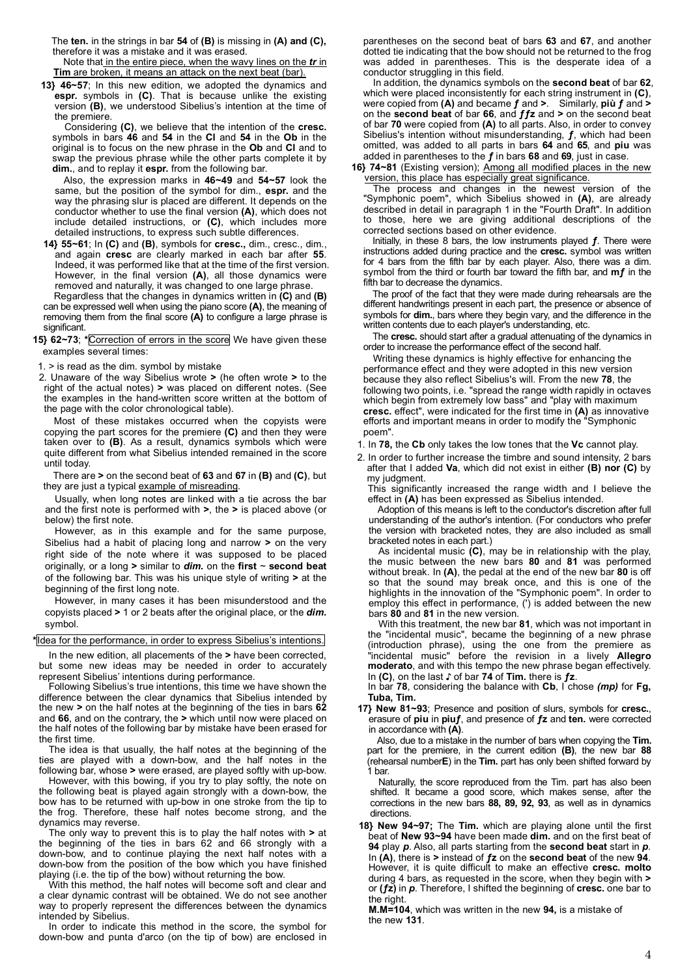The **ten.** in the strings in bar **54** of **(B)** is missing in **(A) and (C),** therefore it was a mistake and it was erased.

Note that in the entire piece, when the wavy lines on the *tr* in **Tim** are broken, it means an attack on the next beat (bar).

**13} 46~57**; In this new edition, we adopted the dynamics and **espr.** symbols in **(C)**. That is because unlike the existing version **(B)**, we understood Sibelius's intention at the time of the premiere.

Considering **(C)**, we believe that the intention of the **cresc.** symbols in bars **46** and **54** in the **Cl** and **54** in the **Ob** in the original is to focus on the new phrase in the **Ob** and **Cl** and to swap the previous phrase while the other parts complete it by **dim.**, and to replay it **espr.** from the following bar.

Also, the expression marks in **46~49** and **54~57** look the same, but the position of the symbol for dim., **espr.** and the way the phrasing slur is placed are different. It depends on the conductor whether to use the final version **(A)**, which does not include detailed instructions, or **(C)**, which includes more detailed instructions, to express such subtle differences.

**14} 55~61**; In **(C)** and **(B)**, symbols for **cresc.,** dim., cresc., dim., and again **cresc** are clearly marked in each bar after **55**. Indeed, it was performed like that at the time of the first version. However, in the final version **(A)**, all those dynamics were removed and naturally, it was changed to one large phrase.

Regardless that the changes in dynamics written in **(C)** and **(B)** can be expressed well when using the piano score **(A)**, the meaning of removing them from the final score **(A)** to configure a large phrase is significant.

**15} 62~73**; **\***Correction of errors in the score We have given these examples several times:

1. > is read as the dim. symbol by mistake

2. Unaware of the way Sibelius wrote **>** (he often wrote **>** to the right of the actual notes) **>** was placed on different notes. (See the examples in the hand-written score written at the bottom of the page with the color chronological table).

Most of these mistakes occurred when the copyists were copying the part scores for the premiere **(C)** and then they were taken over to **(B)**. As a result, dynamics symbols which were quite different from what Sibelius intended remained in the score until today.

There are **>** on the second beat of **63** and **67** in **(B)** and **(C)**, but they are just a typical example of misreading

Usually, when long notes are linked with a tie across the bar and the first note is performed with **>**, the **>** is placed above (or below) the first note.

However, as in this example and for the same purpose, Sibelius had a habit of placing long and narrow **>** on the very right side of the note where it was supposed to be placed originally, or a long **>** similar to *dim.* on the **first** ~ **second beat** of the following bar. This was his unique style of writing **>** at the beginning of the first long note.

However, in many cases it has been misunderstood and the copyists placed **>** 1 or 2 beats after the original place, or the *dim.*  symbol.

**\***Idea for the performance, in order to express Sibelius's intentions.

In the new edition, all placements of the **>** have been corrected, but some new ideas may be needed in order to accurately represent Sibelius' intentions during performance.

Following Sibelius's true intentions, this time we have shown the difference between the clear dynamics that Sibelius intended by the new **>** on the half notes at the beginning of the ties in bars **62** and **66**, and on the contrary, the **>** which until now were placed on the half notes of the following bar by mistake have been erased for the first time.

The idea is that usually, the half notes at the beginning of the ties are played with a down-bow, and the half notes in the following bar, whose **>** were erased, are played softly with up-bow.

However, with this bowing, if you try to play softly, the note on the following beat is played again strongly with a down-bow, the bow has to be returned with up-bow in one stroke from the tip to the frog. Therefore, these half notes become strong, and the dynamics may reverse.

The only way to prevent this is to play the half notes with **>** at the beginning of the ties in bars 62 and 66 strongly with a down-bow, and to continue playing the next half notes with a down-bow from the position of the bow which you have finished playing (i.e. the tip of the bow) without returning the bow.

With this method, the half notes will become soft and clear and a clear dynamic contrast will be obtained. We do not see another way to properly represent the differences between the dynamics intended by Sibelius.

In order to indicate this method in the score, the symbol for down-bow and punta d'arco (on the tip of bow) are enclosed in

parentheses on the second beat of bars **63** and **67**, and another dotted tie indicating that the bow should not be returned to the frog was added in parentheses. This is the desperate idea of a conductor struggling in this field.

In addition, the dynamics symbols on the **second beat** of bar **62**, which were placed inconsistently for each string instrument in **(C)**, were copied from **(A)** and became **ƒ** and **>**. Similarly, **più ƒ** and **>** on the **second beat** of bar **66**, and **ƒƒz** and **>** on the second beat of bar **70** were copied from **(A)** to all parts. Also, in order to convey Sibelius's intention without misunderstanding, **ƒ**, which had been omitted, was added to all parts in bars **64** and **65**, and **piu** was added in parentheses to the **ƒ** in bars **68** and **69**, just in case.

**16} 74~81** (Existing version); Among all modified places in the new version, this place has especially great significance.

The process and changes in the newest version of the "Symphonic poem", which Sibelius showed in (A), are already described in detail in paragraph 1 in the "Fourth Draft". In addition to those, here we are giving additional descriptions of the corrected sections based on other evidence.

Initially, in these 8 bars, the low instruments played **ƒ**. There were instructions added during practice and the **cresc.** symbol was written for 4 bars from the fifth bar by each player. Also, there was a dim. symbol from the third or fourth bar toward the fifth bar, and **mƒ** in the fifth bar to decrease the dynamics.

The proof of the fact that they were made during rehearsals are the different handwritings present in each part, the presence or absence of symbols for **dim.**, bars where they begin vary, and the difference in the written contents due to each player's understanding, etc.

The **cresc.** should start after a gradual attenuating of the dynamics in order to increase the performance effect of the second half.

Writing these dynamics is highly effective for enhancing the performance effect and they were adopted in this new version because they also reflect Sibelius's will. From the new **78**, the following two points, i.e. "spread the range width rapidly in octaves which begin from extremely low bass" and "play with maximum" **cresc.** effect", were indicated for the first time in **(A)** as innovative efforts and important means in order to modify the "Symphonic poem".

1. In **78,** the **Cb** only takes the low tones that the **Vc** cannot play.

2. In order to further increase the timbre and sound intensity, 2 bars after that I added **Va**, which did not exist in either **(B) nor (C)** by my judgment.

This significantly increased the range width and I believe the effect in **(A)** has been expressed as Sibelius intended.

Adoption of this means is left to the conductor's discretion after full understanding of the author's intention. (For conductors who prefer the version with bracketed notes, they are also included as small bracketed notes in each part.)

As incidental music **(C)**, may be in relationship with the play, the music between the new bars **80** and **81** was performed without break. In **(A)**, the pedal at the end of the new bar **80** is off so that the sound may break once, and this is one of the highlights in the innovation of the "Symphonic poem". In order to employ this effect in performance, (') is added between the new bars **80** and **81** in the new version.

With this treatment, the new bar **81**, which was not important in the "incidental music", became the beginning of a new phrase (introduction phrase), using the one from the premiere as "incidental music" before the revision in a lively **Allegro moderato**, and with this tempo the new phrase began effectively. In **(C)**, on the last **♪** of bar **74** of **Tim.** there is **ƒz**.

In bar **78**, considering the balance with **Cb**, I chose *(mp)* for **Fg, Tuba, Tim.**

**17} New 81~93**; Presence and position of slurs, symbols for **cresc.**, erasure of **piu** in **piuƒ**, and presence of **ƒz** and **ten.** were corrected in accordance with **(A)**.

Also, due to a mistake in the number of bars when copying the **Tim.** part for the premiere, in the current edition **(B)**, the new bar **88** (rehearsal number**E**) in the **Tim.** part has only been shifted forward by 1 bar.

Naturally, the score reproduced from the Tim. part has also been shifted. It became a good score, which makes sense, after the corrections in the new bars **88, 89, 92, 93**, as well as in dynamics directions.

**18} New 94~97;** The **Tim.** which are playing alone until the first beat of **New 93~94** have been made **dim.** and on the first beat of **94** play *p*. Also, all parts starting from the **second beat** start in *p*. In **(A)**, there is **>** instead of **ƒz** on the **second beat** of the new **94**. However, it is quite difficult to make an effective **cresc. molto** during 4 bars, as requested in the score, when they begin with **>** or **(ƒz)** in *p*. Therefore, I shifted the beginning of **cresc.** one bar to the right.

**M.M=104**, which was written in the new **94,** is a mistake of the new **131**.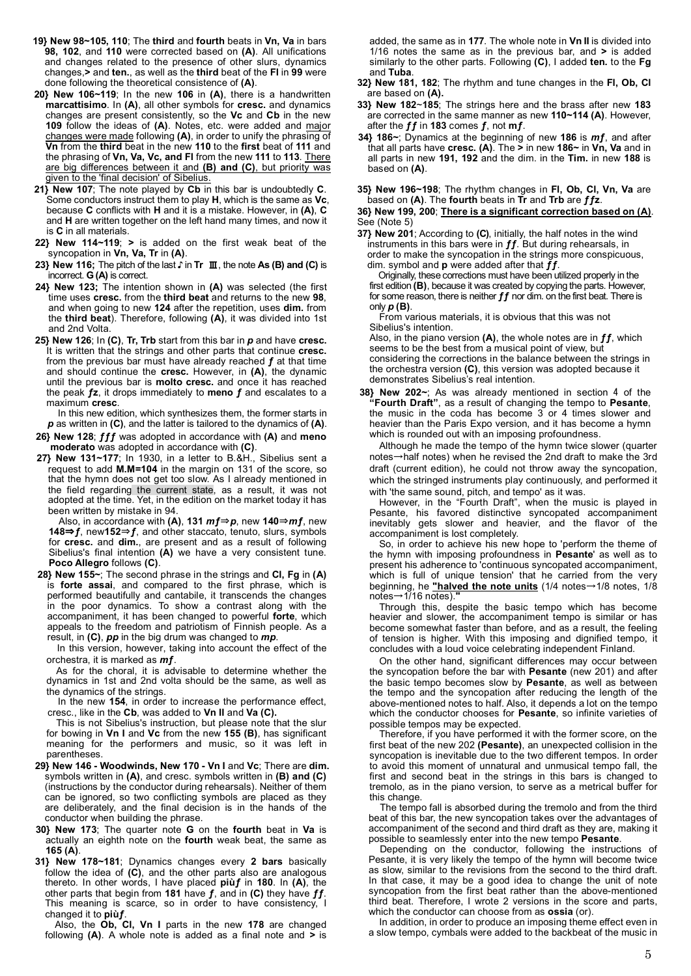- **19} New 98~105, 110**; The **third** and **fourth** beats in **Vn, Va** in bars **98, 102**, and **110** were corrected based on **(A)**. All unifications and changes related to the presence of other slurs, dynamics changes,**>** and **ten.**, as well as the **third** beat of the **Fl** in **99** were done following the theoretical consistence of **(A)**.
- **20} New 106~119**; In the new **106** in **(A)**, there is a handwritten **marcattisimo**. In **(A)**, all other symbols for **cresc.** and dynamics changes are present consistently, so the **Vc** and **Cb** in the new **109** follow the ideas of **(A)**. Notes, etc. were added and major changes were made following **(A)**, in order to unify the phrasing of **Vn** from the **third** beat in the new **110** to the **first** beat of **111** and the phrasing of **Vn, Va, Vc, and Fl** from the new **111** to **113**. There are big differences between it and **(B) and (C)**, but priority was given to the 'final decision' of Sibelius.
- **21} New 107**; The note played by **Cb** in this bar is undoubtedly **C**. Some conductors instruct them to play **H**, which is the same as **Vc**, because **C** conflicts with **H** and it is a mistake. However, in **(A)**, **C** and **H** are written together on the left hand many times, and now it is **C** in all materials.
- **22} New 114~119**; **>** is added on the first weak beat of the syncopation in **Vn, Va, Tr** in **(A)**.
- **23} New 116;** The pitch of the last ♪ in **Tr** Ⅲ, the note **As (B) and (C)** is incorrect. **G (A)** is correct.
- **24} New 123;** The intention shown in **(A)** was selected (the first time uses **cresc.** from the **third beat** and returns to the new **98**, and when going to new **124** after the repetition, uses **dim.** from the **third beat**). Therefore, following **(A)**, it was divided into 1st and 2nd Volta.
- **25} New 126**; In **(C)**, **Tr, Trb** start from this bar in *p* and have **cresc.** It is written that the strings and other parts that continue **cresc.** from the previous bar must have already reached **ƒ** at that time and should continue the **cresc.** However, in **(A)**, the dynamic until the previous bar is **molto cresc.** and once it has reached the peak **ƒz**, it drops immediately to **meno ƒ** and escalates to a maximum **cresc**.

In this new edition, which synthesizes them, the former starts in *p* as written in **(C)**, and the latter is tailored to the dynamics of **(A)**.

- **26} New 128**; **ƒƒƒ** was adopted in accordance with **(A)** and **meno moderato** was adopted in accordance with **(C)**.
- **27} New 131~177**; In 1930, in a letter to B.&H., Sibelius sent a request to add **M.M=104** in the margin on 131 of the score, so that the hymn does not get too slow. As I already mentioned in the field regarding the current state, as a result, it was not adopted at the time. Yet, in the edition on the market today it has been written by mistake in 94.

Also, in accordance with **(A)**, **131** *m***ƒ**⇒*p*, new **140**⇒*m***ƒ**, new **148**⇒**ƒ**, new**152**⇒**ƒ**, and other staccato, tenuto, slurs, symbols for **cresc.** and **dim.**, are present and as a result of following Sibelius's final intention **(A)** we have a very consistent tune. **Poco Allegro** follows **(C)**.

**28} New 155~**; The second phrase in the strings and **Cl, Fg** in **(A)** is **forte assai**, and compared to the first phrase, which is performed beautifully and cantabile, it transcends the changes in the poor dynamics. To show a contrast along with the accompaniment, it has been changed to powerful **forte**, which appeals to the freedom and patriotism of Finnish people. As a result, in **(C)**, *pp* in the big drum was changed to *mp*.

In this version, however, taking into account the effect of the orchestra, it is marked as *mƒ*.

As for the choral, it is advisable to determine whether the dynamics in 1st and 2nd volta should be the same, as well as the dynamics of the strings.

In the new **154**, in order to increase the performance effect, cresc., like in the **Cb**, was added to **Vn II** and **Va (C).**

This is not Sibelius's instruction, but please note that the slur for bowing in **Vn I** and **Vc** from the new **155 (B)**, has significant meaning for the performers and music, so it was left in parentheses.

- **29} New 146 - Woodwinds, New 170 - Vn I** and **Vc**; There are **dim.** symbols written in **(A)**, and cresc. symbols written in **(B) and (C)** (instructions by the conductor during rehearsals). Neither of them can be ignored, so two conflicting symbols are placed as they are deliberately, and the final decision is in the hands of the conductor when building the phrase.
- **30} New 173**; The quarter note **G** on the **fourth** beat in **Va** is actually an eighth note on the **fourth** weak beat, the same as **165 (A)**.
- **31} New 178~181**; Dynamics changes every **2 bars** basically follow the idea of **(C)**, and the other parts also are analogous thereto. In other words, I have placed **piùƒ** in **180**. In **(A)**, the other parts that begin from **181** have **ƒ**, and in **(C)** they have **ƒƒ**. This meaning is scarce, so in order to have consistency, I changed it to **piùƒ**.

Also, the **Ob, Cl, Vn I** parts in the new **178** are changed following **(A)**. A whole note is added as a final note and **>** is

added, the same as in **177**. The whole note in **Vn II** is divided into 1/16 notes the same as in the previous bar, and **>** is added similarly to the other parts. Following **(C)**, I added **ten.** to the **Fg** and **Tuba**.

- **32} New 181, 182**; The rhythm and tune changes in the **Fl, Ob, Cl** are based on **(A).**
- **33} New 182**~**185**; The strings here and the brass after new **183** are corrected in the same manner as new **110~114 (A)**. However, after the **ƒƒ** in **183** comes *ƒ*, not **mƒ**.
- **34} 186~**; Dynamics at the beginning of new **186** is *mƒ*, and after that all parts have **cresc. (A)**. The **>** in new **186~** in **Vn, Va** and in all parts in new **191, 192** and the dim. in the **Tim.** in new **188** is based on **(A)**.

**35} New 196~198**; The rhythm changes in **Fl, Ob, Cl, Vn, Va** are based on **(A)**. The **fourth** beats in **Tr** and **Trb** are **ƒƒz**.

**36} New 199, 200**; **There is a significant correction based on (A)**. See (Note 5)

**37} New 201**; According to **(C)**, initially, the half notes in the wind instruments in this bars were in **ƒƒ**. But during rehearsals, in order to make the syncopation in the strings more conspicuous, dim. symbol and **p** were added after that *ƒƒ*.

Originally, these corrections must have been utilized properly in the first edition **(B)**, because it was created by copying the parts. However, for some reason, there is neither **ff** nor dim. on the first beat. There is only *p* **(B)**.

From various materials, it is obvious that this was not Sibelius's intention.

Also, in the piano version **(A)**, the whole notes are in **ƒƒ**, which seems to be the best from a musical point of view, but considering the corrections in the balance between the strings in the orchestra version **(C)**, this version was adopted because it demonstrates Sibelius's real intention.

**38} New 202~**; As was already mentioned in section 4 of the **"Fourth Draft"**, as a result of changing the tempo to **Pesante**, the music in the coda has become 3 or 4 times slower and heavier than the Paris Expo version, and it has become a hymn which is rounded out with an imposing profoundness.

Although he made the tempo of the hymn twice slower (quarter notes→half notes) when he revised the 2nd draft to make the 3rd draft (current edition), he could not throw away the syncopation, which the stringed instruments play continuously, and performed it with 'the same sound, pitch, and tempo' as it was.

However, in the "Fourth Draft", when the music is played in Pesante, his favored distinctive syncopated accompaniment inevitably gets slower and heavier, and the flavor of the accompaniment is lost completely.

So, in order to achieve his new hope to 'perform the theme of the hymn with imposing profoundness in **Pesante**' as well as to present his adherence to 'continuous syncopated accompaniment, which is full of unique tension' that he carried from the very beginning, he **"halved the note units** (1/4 notes→1/8 notes, 1/8 notes→1/16 notes).**"**

Through this, despite the basic tempo which has become heavier and slower, the accompaniment tempo is similar or has become somewhat faster than before, and as a result, the feeling of tension is higher. With this imposing and dignified tempo, it concludes with a loud voice celebrating independent Finland.

On the other hand, significant differences may occur between the syncopation before the bar with **Pesante** (new 201) and after the basic tempo becomes slow by **Pesante**, as well as between the tempo and the syncopation after reducing the length of the above-mentioned notes to half. Also, it depends a lot on the tempo which the conductor chooses for **Pesante**, so infinite varieties of possible tempos may be expected.

Therefore, if you have performed it with the former score, on the first beat of the new 202 **(Pesante)**, an unexpected collision in the syncopation is inevitable due to the two different tempos. In order to avoid this moment of unnatural and unmusical tempo fall, the first and second beat in the strings in this bars is changed to tremolo, as in the piano version, to serve as a metrical buffer for this change.

The tempo fall is absorbed during the tremolo and from the third beat of this bar, the new syncopation takes over the advantages of accompaniment of the second and third draft as they are, making it possible to seamlessly enter into the new tempo **Pesante**.

Depending on the conductor, following the instructions of Pesante, it is very likely the tempo of the hymn will become twice as slow, similar to the revisions from the second to the third draft. In that case, it may be a good idea to change the unit of note syncopation from the first beat rather than the above-mentioned third beat. Therefore, I wrote 2 versions in the score and parts, which the conductor can choose from as **ossia** (or).

In addition, in order to produce an imposing theme effect even in a slow tempo, cymbals were added to the backbeat of the music in